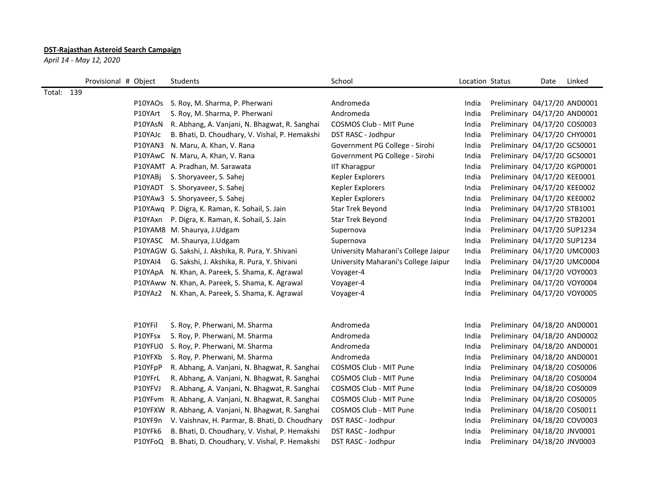## **DST-Rajasthan Asteroid Search Campaign**

*April 14 - May 12, 2020*

|            | Provisional # Object | Students                                               | School                               | Location Status |                              | Date | Linked |
|------------|----------------------|--------------------------------------------------------|--------------------------------------|-----------------|------------------------------|------|--------|
| Total: 139 |                      |                                                        |                                      |                 |                              |      |        |
|            |                      | P10YAOs S. Roy, M. Sharma, P. Pherwani                 | Andromeda                            | India           | Preliminary 04/17/20 AND0001 |      |        |
|            | P10YArt              | S. Roy, M. Sharma, P. Pherwani                         | Andromeda                            | India           | Preliminary 04/17/20 AND0001 |      |        |
|            | P10YAsN              | R. Abhang, A. Vanjani, N. Bhagwat, R. Sanghai          | COSMOS Club - MIT Pune               | India           | Preliminary 04/17/20 COS0003 |      |        |
|            | P10YAJc              | B. Bhati, D. Choudhary, V. Vishal, P. Hemakshi         | DST RASC - Jodhpur                   | India           | Preliminary 04/17/20 CHY0001 |      |        |
|            | P10YAN3              | N. Maru, A. Khan, V. Rana                              | Government PG College - Sirohi       | India           | Preliminary 04/17/20 GCS0001 |      |        |
|            |                      | P10YAwC N. Maru, A. Khan, V. Rana                      | Government PG College - Sirohi       | India           | Preliminary 04/17/20 GCS0001 |      |        |
|            |                      | P10YAMT A. Pradhan, M. Sarawata                        | <b>IIT Kharagpur</b>                 | India           | Preliminary 04/17/20 KGP0001 |      |        |
|            | P10YABj              | S. Shoryaveer, S. Sahej                                | Kepler Explorers                     | India           | Preliminary 04/17/20 KEE0001 |      |        |
|            |                      | P10YADT S. Shoryaveer, S. Sahej                        | Kepler Explorers                     | India           | Preliminary 04/17/20 KEE0002 |      |        |
|            |                      | P10YAw3 S. Shoryaveer, S. Sahej                        | Kepler Explorers                     | India           | Preliminary 04/17/20 KEE0002 |      |        |
|            |                      | P10YAwq P. Digra, K. Raman, K. Sohail, S. Jain         | Star Trek Beyond                     | India           | Preliminary 04/17/20 STB1001 |      |        |
|            | P10YAxn              | P. Digra, K. Raman, K. Sohail, S. Jain                 | Star Trek Beyond                     | India           | Preliminary 04/17/20 STB2001 |      |        |
|            |                      | P10YAM8 M. Shaurya, J.Udgam                            | Supernova                            | India           | Preliminary 04/17/20 SUP1234 |      |        |
|            | P10YASC              | M. Shaurya, J.Udgam                                    | Supernova                            | India           | Preliminary 04/17/20 SUP1234 |      |        |
|            |                      | P10YAGW G. Sakshi, J. Akshika, R. Pura, Y. Shivani     | University Maharani's College Jaipur | India           | Preliminary 04/17/20 UMC0003 |      |        |
|            | <b>P10YAI4</b>       | G. Sakshi, J. Akshika, R. Pura, Y. Shivani             | University Maharani's College Jaipur | India           | Preliminary 04/17/20 UMC0004 |      |        |
|            |                      | P10YApA N. Khan, A. Pareek, S. Shama, K. Agrawal       | Voyager-4                            | India           | Preliminary 04/17/20 VOY0003 |      |        |
|            |                      | P10YAww N. Khan, A. Pareek, S. Shama, K. Agrawal       | Voyager-4                            | India           | Preliminary 04/17/20 VOY0004 |      |        |
|            | P10YAz2              | N. Khan, A. Pareek, S. Shama, K. Agrawal               | Voyager-4                            | India           | Preliminary 04/17/20 VOY0005 |      |        |
|            |                      |                                                        |                                      |                 |                              |      |        |
|            | P10YFil              | S. Roy, P. Pherwani, M. Sharma                         | Andromeda                            | India           | Preliminary 04/18/20 AND0001 |      |        |
|            | P10YFsx              | S. Roy, P. Pherwani, M. Sharma                         | Andromeda                            | India           | Preliminary 04/18/20 AND0002 |      |        |
|            | P10YFU0              | S. Roy, P. Pherwani, M. Sharma                         | Andromeda                            | India           | Preliminary 04/18/20 AND0001 |      |        |
|            | P10YFXb              | S. Roy, P. Pherwani, M. Sharma                         | Andromeda                            | India           | Preliminary 04/18/20 AND0001 |      |        |
|            | P10YFpP              | R. Abhang, A. Vanjani, N. Bhagwat, R. Sanghai          | COSMOS Club - MIT Pune               | India           | Preliminary 04/18/20 COS0006 |      |        |
|            | P10YFrL              | R. Abhang, A. Vanjani, N. Bhagwat, R. Sanghai          | COSMOS Club - MIT Pune               | India           | Preliminary 04/18/20 COS0004 |      |        |
|            | P10YFVJ              | R. Abhang, A. Vanjani, N. Bhagwat, R. Sanghai          | COSMOS Club - MIT Pune               | India           | Preliminary 04/18/20 COS0009 |      |        |
|            | P10YFvm              | R. Abhang, A. Vanjani, N. Bhagwat, R. Sanghai          | COSMOS Club - MIT Pune               | India           | Preliminary 04/18/20 COS0005 |      |        |
|            | P10YFXW              | R. Abhang, A. Vanjani, N. Bhagwat, R. Sanghai          | COSMOS Club - MIT Pune               | India           | Preliminary 04/18/20 COS0011 |      |        |
|            | P10YF9n              | V. Vaishnav, H. Parmar, B. Bhati, D. Choudhary         | DST RASC - Jodhpur                   | India           | Preliminary 04/18/20 COV0003 |      |        |
|            | P10YFk6              | B. Bhati, D. Choudhary, V. Vishal, P. Hemakshi         | DST RASC - Jodhpur                   | India           | Preliminary 04/18/20 JNV0001 |      |        |
|            |                      | P10YFoQ B. Bhati, D. Choudhary, V. Vishal, P. Hemakshi | DST RASC - Jodhpur                   | India           | Preliminary 04/18/20 JNV0003 |      |        |
|            |                      |                                                        |                                      |                 |                              |      |        |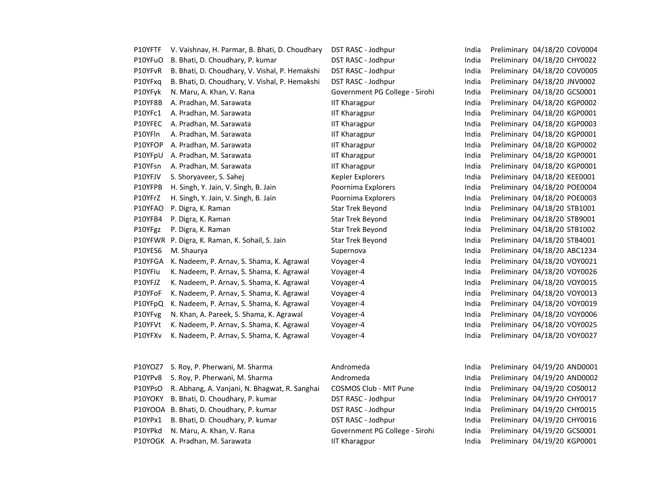| P10YFTF | V. Vaishnav, H. Parmar, B. Bhati, D. Choudhary | DST RASC - Jodhpur             | India | Preliminary 04/18/20 COV0004 |
|---------|------------------------------------------------|--------------------------------|-------|------------------------------|
| P10YFuO | B. Bhati, D. Choudhary, P. kumar               | DST RASC - Jodhpur             | India | Preliminary 04/18/20 CHY0022 |
| P10YFvR | B. Bhati, D. Choudhary, V. Vishal, P. Hemakshi | DST RASC - Jodhpur             | India | Preliminary 04/18/20 COV0005 |
| P10YFxq | B. Bhati, D. Choudhary, V. Vishal, P. Hemakshi | DST RASC - Jodhpur             | India | Preliminary 04/18/20 JNV0002 |
| P10YFyk | N. Maru, A. Khan, V. Rana                      | Government PG College - Sirohi | India | Preliminary 04/18/20 GCS0001 |
| P10YF8B | A. Pradhan, M. Sarawata                        | <b>IIT Kharagpur</b>           | India | Preliminary 04/18/20 KGP0002 |
| P10YFc1 | A. Pradhan, M. Sarawata                        | <b>IIT Kharagpur</b>           | India | Preliminary 04/18/20 KGP0001 |
| P10YFEC | A. Pradhan, M. Sarawata                        | <b>IIT Kharagpur</b>           | India | Preliminary 04/18/20 KGP0003 |
| P10YFIn | A. Pradhan, M. Sarawata                        | <b>IIT Kharagpur</b>           | India | Preliminary 04/18/20 KGP0001 |
| P10YFOP | A. Pradhan, M. Sarawata                        | <b>IIT Kharagpur</b>           | India | Preliminary 04/18/20 KGP0002 |
| P10YFpU | A. Pradhan, M. Sarawata                        | <b>IIT Kharagpur</b>           | India | Preliminary 04/18/20 KGP0001 |
| P10YFsn | A. Pradhan, M. Sarawata                        | <b>IIT Kharagpur</b>           | India | Preliminary 04/18/20 KGP0001 |
| P10YFJV | S. Shoryaveer, S. Sahej                        | Kepler Explorers               | India | Preliminary 04/18/20 KEE0001 |
| P10YFPB | H. Singh, Y. Jain, V. Singh, B. Jain           | Poornima Explorers             | India | Preliminary 04/18/20 POE0004 |
| P10YFrZ | H. Singh, Y. Jain, V. Singh, B. Jain           | Poornima Explorers             | India | Preliminary 04/18/20 POE0003 |
| P10YFAO | P. Digra, K. Raman                             | Star Trek Beyond               | India | Preliminary 04/18/20 STB1001 |
| P10YFB4 | P. Digra, K. Raman                             | Star Trek Beyond               | India | Preliminary 04/18/20 STB9001 |
| P10YFgz | P. Digra, K. Raman                             | <b>Star Trek Beyond</b>        | India | Preliminary 04/18/20 STB1002 |
|         | P10YFWR P. Digra, K. Raman, K. Sohail, S. Jain | Star Trek Beyond               | India | Preliminary 04/18/20 STB4001 |
| P10YES6 | M. Shaurya                                     | Supernova                      | India | Preliminary 04/18/20 ABC1234 |
| P10YFGA | K. Nadeem, P. Arnav, S. Shama, K. Agrawal      | Voyager-4                      | India | Preliminary 04/18/20 VOY0021 |
| P10YFIu | K. Nadeem, P. Arnav, S. Shama, K. Agrawal      | Voyager-4                      | India | Preliminary 04/18/20 VOY0026 |
| P10YFJZ | K. Nadeem, P. Arnav, S. Shama, K. Agrawal      | Voyager-4                      | India | Preliminary 04/18/20 VOY0015 |
| P10YFoF | K. Nadeem, P. Arnav, S. Shama, K. Agrawal      | Voyager-4                      | India | Preliminary 04/18/20 VOY0013 |
| P10YFpQ | K. Nadeem, P. Arnav, S. Shama, K. Agrawal      | Voyager-4                      | India | Preliminary 04/18/20 VOY0019 |
| P10YFvg | N. Khan, A. Pareek, S. Shama, K. Agrawal       | Voyager-4                      | India | Preliminary 04/18/20 VOY0006 |
| P10YFVt | K. Nadeem, P. Arnav, S. Shama, K. Agrawal      | Voyager-4                      | India | Preliminary 04/18/20 VOY0025 |
| P10YFXv | K. Nadeem, P. Arnav, S. Shama, K. Agrawal      | Voyager-4                      | India | Preliminary 04/18/20 VOY0027 |
|         |                                                |                                |       |                              |
|         |                                                |                                |       |                              |
| P10YOZ7 | S. Roy, P. Pherwani, M. Sharma                 | Andromeda                      | India | Preliminary 04/19/20 AND0001 |
| P10YPv8 | S. Roy, P. Pherwani, M. Sharma                 | Andromeda                      | India | Preliminary 04/19/20 AND0002 |
| P10YPsO | R. Abhang, A. Vanjani, N. Bhagwat, R. Sanghai  | COSMOS Club - MIT Pune         | India | Preliminary 04/19/20 COS0012 |
| P10YOKY | B. Bhati, D. Choudhary, P. kumar               | DST RASC - Jodhpur             | India | Preliminary 04/19/20 CHY0017 |

P10YOOA B. Bhati, D. Choudhary, P. kumar **DST RASC - Jodhpur** India Preliminary 04/19/20 CHY0015 P10YPx1 B. Bhati, D. Choudhary, P. kumar DST RASC - Jodhpur India Preliminary 04/19/20 CHY0016 P10YPkd N. Maru, A. Khan, V. Rana Sanda Government PG College - Sirohi India Preliminary 04/19/20 GCS0001 P10YOGK A. Pradhan, M. Sarawata **IIT Kharagpur** IIT Kharagpur **India Preliminary 04/19/20 KGP0001**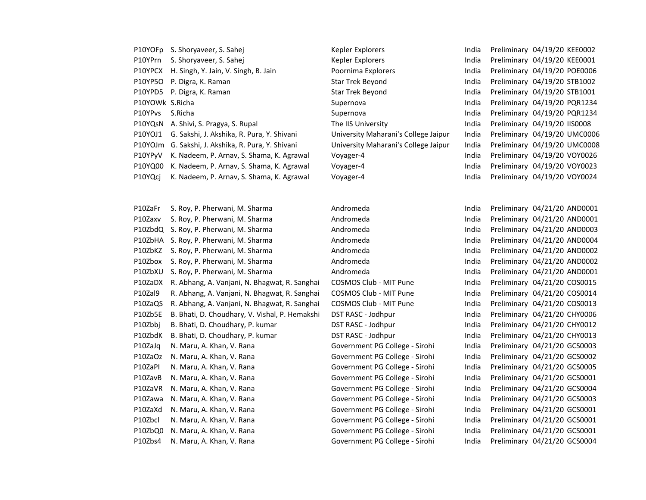|                 | P10YOFp S. Shoryaveer, S. Sahej                    | Kepler Explorers                     | India | Preliminary 04/19/20 KEE0002 |
|-----------------|----------------------------------------------------|--------------------------------------|-------|------------------------------|
| P10YPrn         | S. Shoryaveer, S. Sahej                            | Kepler Explorers                     | India | Preliminary 04/19/20 KEE0001 |
| P10YPCX         | H. Singh, Y. Jain, V. Singh, B. Jain               | Poornima Explorers                   | India | Preliminary 04/19/20 POE0006 |
| P10YP5O         | P. Digra, K. Raman                                 | <b>Star Trek Beyond</b>              | India | Preliminary 04/19/20 STB1002 |
| P10YPD5         | P. Digra, K. Raman                                 | <b>Star Trek Beyond</b>              | India | Preliminary 04/19/20 STB1001 |
| P10YOWk S.Richa |                                                    | Supernova                            | India | Preliminary 04/19/20 PQR1234 |
| P10YPvs         | S.Richa                                            | Supernova                            | India | Preliminary 04/19/20 PQR1234 |
|                 | P10YQsN A. Shivi, S. Pragya, S. Rupal              | The IIS University                   | India | Preliminary 04/19/20 IIS0008 |
| P10YOJ1         | G. Sakshi, J. Akshika, R. Pura, Y. Shivani         | University Maharani's College Jaipur | India | Preliminary 04/19/20 UMC0006 |
|                 | P10YOJm G. Sakshi, J. Akshika, R. Pura, Y. Shivani | University Maharani's College Jaipur | India | Preliminary 04/19/20 UMC0008 |
| P10YPyV         | K. Nadeem, P. Arnav, S. Shama, K. Agrawal          | Voyager-4                            | India | Preliminary 04/19/20 VOY0026 |
| P10YQ00         | K. Nadeem, P. Arnav, S. Shama, K. Agrawal          | Voyager-4                            | India | Preliminary 04/19/20 VOY0023 |
| P10YQcj         | K. Nadeem, P. Arnav, S. Shama, K. Agrawal          | Voyager-4                            | India | Preliminary 04/19/20 VOY0024 |
|                 |                                                    |                                      |       |                              |
|                 |                                                    |                                      |       |                              |
| P10ZaFr         | S. Roy, P. Pherwani, M. Sharma                     | Andromeda                            | India | Preliminary 04/21/20 AND0001 |
| P10Zaxv         | S. Roy, P. Pherwani, M. Sharma                     | Andromeda                            | India | Preliminary 04/21/20 AND0001 |
| P10ZbdQ         | S. Roy, P. Pherwani, M. Sharma                     | Andromeda                            | India | Preliminary 04/21/20 AND0003 |
| P10ZbHA         | S. Roy, P. Pherwani, M. Sharma                     | Andromeda                            | India | Preliminary 04/21/20 AND0004 |
| P10ZbKZ         | S. Roy, P. Pherwani, M. Sharma                     | Andromeda                            | India | Preliminary 04/21/20 AND0002 |
| P10Zbox         | S. Roy, P. Pherwani, M. Sharma                     | Andromeda                            | India | Preliminary 04/21/20 AND0002 |
| P10ZbXU         | S. Roy, P. Pherwani, M. Sharma                     | Andromeda                            | India | Preliminary 04/21/20 AND0001 |
| P10ZaDX         | R. Abhang, A. Vanjani, N. Bhagwat, R. Sanghai      | COSMOS Club - MIT Pune               | India | Preliminary 04/21/20 COS0015 |
| P10Zal9         | R. Abhang, A. Vanjani, N. Bhagwat, R. Sanghai      | COSMOS Club - MIT Pune               | India | Preliminary 04/21/20 COS0014 |
| P10ZaQS         | R. Abhang, A. Vanjani, N. Bhagwat, R. Sanghai      | COSMOS Club - MIT Pune               | India | Preliminary 04/21/20 COS0013 |
| P10Zb5E         | B. Bhati, D. Choudhary, V. Vishal, P. Hemakshi     | DST RASC - Jodhpur                   | India | Preliminary 04/21/20 CHY0006 |
| P10Zbbj         | B. Bhati, D. Choudhary, P. kumar                   | DST RASC - Jodhpur                   | India | Preliminary 04/21/20 CHY0012 |
| P10ZbdK         | B. Bhati, D. Choudhary, P. kumar                   | DST RASC - Jodhpur                   | India | Preliminary 04/21/20 CHY0013 |
| P10ZaJq         | N. Maru, A. Khan, V. Rana                          | Government PG College - Sirohi       | India | Preliminary 04/21/20 GCS0003 |
| P10ZaOz         | N. Maru, A. Khan, V. Rana                          | Government PG College - Sirohi       | India | Preliminary 04/21/20 GCS0002 |
| P10ZaPI         | N. Maru, A. Khan, V. Rana                          | Government PG College - Sirohi       | India | Preliminary 04/21/20 GCS0005 |
| P10ZavB         | N. Maru, A. Khan, V. Rana                          | Government PG College - Sirohi       | India | Preliminary 04/21/20 GCS0001 |
| P10ZaVR         | N. Maru, A. Khan, V. Rana                          | Government PG College - Sirohi       | India | Preliminary 04/21/20 GCS0004 |
| P10Zawa         | N. Maru, A. Khan, V. Rana                          | Government PG College - Sirohi       | India | Preliminary 04/21/20 GCS0003 |
| P10ZaXd         | N. Maru, A. Khan, V. Rana                          | Government PG College - Sirohi       | India | Preliminary 04/21/20 GCS0001 |
| P10Zbcl         | N. Maru, A. Khan, V. Rana                          | Government PG College - Sirohi       | India | Preliminary 04/21/20 GCS0001 |
| P10ZbQ0         | N. Maru, A. Khan, V. Rana                          | Government PG College - Sirohi       | India | Preliminary 04/21/20 GCS0001 |
| P10Zbs4         | N. Maru, A. Khan, V. Rana                          | Government PG College - Sirohi       | India | Preliminary 04/21/20 GCS0004 |